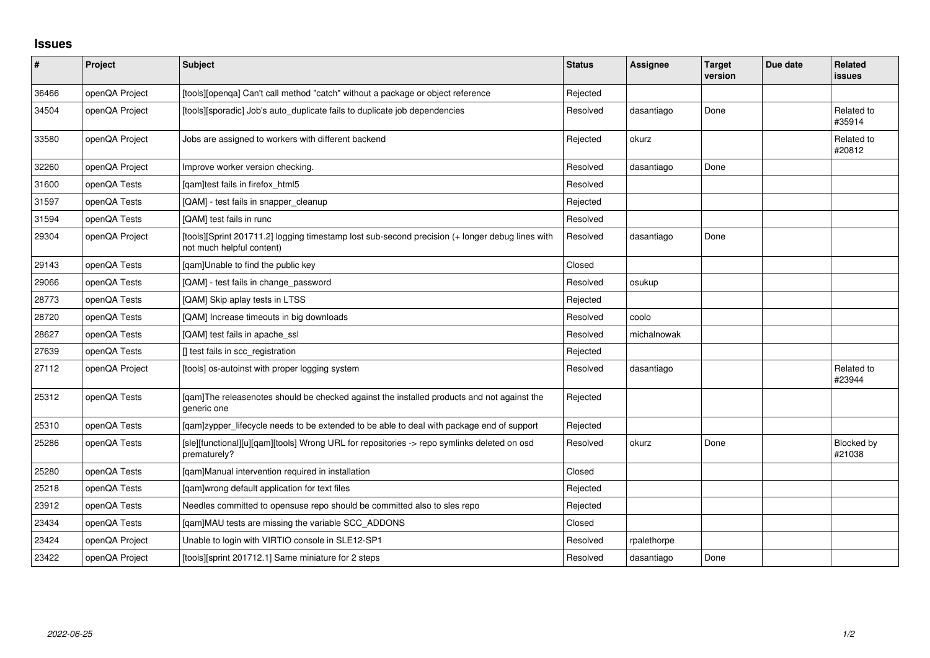## **Issues**

| $\vert$ # | Project        | <b>Subject</b>                                                                                                               | <b>Status</b> | <b>Assignee</b> | <b>Target</b><br>version | Due date | Related<br>issues    |
|-----------|----------------|------------------------------------------------------------------------------------------------------------------------------|---------------|-----------------|--------------------------|----------|----------------------|
| 36466     | openQA Project | [tools][openqa] Can't call method "catch" without a package or object reference                                              | Rejected      |                 |                          |          |                      |
| 34504     | openQA Project | [tools][sporadic] Job's auto_duplicate fails to duplicate job dependencies                                                   | Resolved      | dasantiago      | Done                     |          | Related to<br>#35914 |
| 33580     | openQA Project | Jobs are assigned to workers with different backend                                                                          | Rejected      | okurz           |                          |          | Related to<br>#20812 |
| 32260     | openQA Project | Improve worker version checking.                                                                                             | Resolved      | dasantiago      | Done                     |          |                      |
| 31600     | openQA Tests   | [qam]test fails in firefox_html5                                                                                             | Resolved      |                 |                          |          |                      |
| 31597     | openQA Tests   | [QAM] - test fails in snapper_cleanup                                                                                        | Rejected      |                 |                          |          |                      |
| 31594     | openQA Tests   | [QAM] test fails in runc                                                                                                     | Resolved      |                 |                          |          |                      |
| 29304     | openQA Project | [tools][Sprint 201711.2] logging timestamp lost sub-second precision (+ longer debug lines with<br>not much helpful content) | Resolved      | dasantiago      | Done                     |          |                      |
| 29143     | openQA Tests   | [qam]Unable to find the public key                                                                                           | Closed        |                 |                          |          |                      |
| 29066     | openQA Tests   | [QAM] - test fails in change_password                                                                                        | Resolved      | osukup          |                          |          |                      |
| 28773     | openQA Tests   | [QAM] Skip aplay tests in LTSS                                                                                               | Rejected      |                 |                          |          |                      |
| 28720     | openQA Tests   | [QAM] Increase timeouts in big downloads                                                                                     | Resolved      | coolo           |                          |          |                      |
| 28627     | openQA Tests   | [QAM] test fails in apache_ssl                                                                                               | Resolved      | michalnowak     |                          |          |                      |
| 27639     | openQA Tests   | [] test fails in scc_registration                                                                                            | Rejected      |                 |                          |          |                      |
| 27112     | openQA Project | [tools] os-autoinst with proper logging system                                                                               | Resolved      | dasantiago      |                          |          | Related to<br>#23944 |
| 25312     | openQA Tests   | [gam]The releasenotes should be checked against the installed products and not against the<br>generic one                    | Rejected      |                 |                          |          |                      |
| 25310     | openQA Tests   | [gam]zypper_lifecycle needs to be extended to be able to deal with package end of support                                    | Rejected      |                 |                          |          |                      |
| 25286     | openQA Tests   | [sle][functional][u][qam][tools] Wrong URL for repositories -> repo symlinks deleted on osd<br>prematurely?                  | Resolved      | okurz           | Done                     |          | Blocked by<br>#21038 |
| 25280     | openQA Tests   | [qam]Manual intervention required in installation                                                                            | Closed        |                 |                          |          |                      |
| 25218     | openQA Tests   | [qam]wrong default application for text files                                                                                | Rejected      |                 |                          |          |                      |
| 23912     | openQA Tests   | Needles committed to opensuse repo should be committed also to sles repo                                                     | Rejected      |                 |                          |          |                      |
| 23434     | openQA Tests   | [qam]MAU tests are missing the variable SCC_ADDONS                                                                           | Closed        |                 |                          |          |                      |
| 23424     | openQA Project | Unable to login with VIRTIO console in SLE12-SP1                                                                             | Resolved      | rpalethorpe     |                          |          |                      |
| 23422     | openQA Project | [tools][sprint 201712.1] Same miniature for 2 steps                                                                          | Resolved      | dasantiago      | Done                     |          |                      |